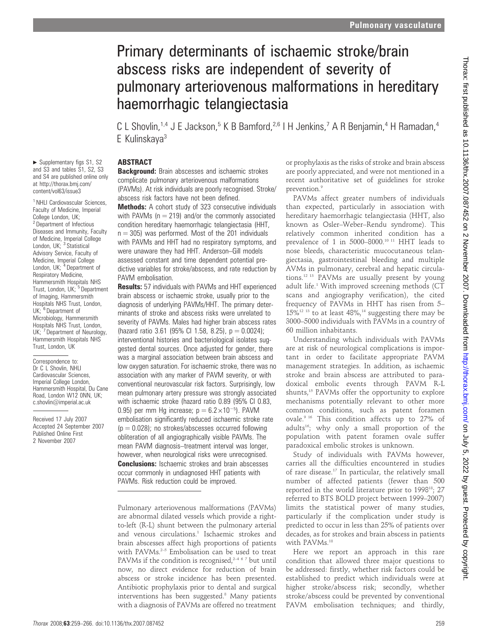# Primary determinants of ischaemic stroke/brain abscess risks are independent of severity of pulmonary arteriovenous malformations in hereditary haemorrhagic telangiectasia

C L Shovlin,<sup>1,4</sup> J E Jackson,<sup>5</sup> K B Bamford,<sup>2,6</sup> I H Jenkins,<sup>7</sup> A R Benjamin,<sup>4</sup> H Ramadan,<sup>4</sup> E Kulinskaya3

# **ABSTRACT**

**Background:** Brain abscesses and ischaemic strokes complicate pulmonary arteriovenous malformations (PAVMs). At risk individuals are poorly recognised. Stroke/ abscess risk factors have not been defined.

Methods: A cohort study of 323 consecutive individuals with PAVMs ( $n = 219$ ) and/or the commonly associated condition hereditary haemorrhagic telangiectasia (HHT,  $n = 305$ ) was performed. Most of the 201 individuals with PAVMs and HHT had no respiratory symptoms, and were unaware they had HHT. Anderson–Gill models assessed constant and time dependent potential predictive variables for stroke/abscess, and rate reduction by PAVM embolisation.

Results: 57 individuals with PAVMs and HHT experienced brain abscess or ischaemic stroke, usually prior to the diagnosis of underlying PAVMs/HHT. The primary determinants of stroke and abscess risks were unrelated to severity of PAVMs. Males had higher brain abscess rates (hazard ratio 3.61 (95% CI 1.58, 8.25),  $p = 0.0024$ ); interventional histories and bacteriological isolates suggested dental sources. Once adjusted for gender, there was a marginal association between brain abscess and low oxygen saturation. For ischaemic stroke, there was no association with any marker of PAVM severity, or with conventional neurovascular risk factors. Surprisingly, low mean pulmonary artery pressure was strongly associated with ischaemic stroke (hazard ratio 0.89 (95% CI 0.83, 0.95) per mm Hg increase;  $p = 6.2 \times 10^{-5}$ . PAVM embolisation significantly reduced ischaemic stroke rate  $(p = 0.028)$ ; no strokes/abscesses occurred following obliteration of all angiographically visible PAVMs. The mean PAVM diagnosis–treatment interval was longer, however, when neurological risks were unrecognised. **Conclusions:** Ischaemic strokes and brain abscesses occur commonly in undiagnosed HHT patients with PAVMs. Risk reduction could be improved.

or prophylaxis as the risks of stroke and brain abscess are poorly appreciated, and were not mentioned in a recent authoritative set of guidelines for stroke prevention.<sup>9</sup>

PAVMs affect greater numbers of individuals than expected, particularly in association with hereditary haemorrhagic telangiectasia (HHT, also known as Osler–Weber–Rendu syndrome). This relatively common inherited condition has a prevalence of 1 in 5000–8000.10 11 HHT leads to nose bleeds, characteristic mucocutaneous telangiectasia, gastrointestinal bleeding and multiple AVMs in pulmonary, cerebral and hepatic circulations.12 13 PAVMs are usually present by young adult life.<sup>1</sup> With improved screening methods ( $CT$ scans and angiography verification), the cited frequency of PAVMs in HHT has risen from 5–  $15\%$ <sup>12 13</sup> to at least 48%,<sup>14</sup> suggesting there may be 3000–5000 individuals with PAVMs in a country of 60 million inhabitants.

Understanding which individuals with PAVMs are at risk of neurological complications is important in order to facilitate appropriate PAVM management strategies. In addition, as ischaemic stroke and brain abscess are attributed to paradoxical embolic events through PAVM R-L shunts,<sup>15</sup> PAVMs offer the opportunity to explore mechanisms potentially relevant to other more common conditions, such as patent foramen ovale.9 16 This condition affects up to 27% of adults<sup>16</sup>; why only a small proportion of the population with patent foramen ovale suffer paradoxical embolic strokes is unknown.

Study of individuals with PAVMs however, carries all the difficulties encountered in studies of rare disease.17 In particular, the relatively small number of affected patients (fewer than 500 reported in the world literature prior to 199818; 27 referred to BTS BOLD project between 1999–2007) limits the statistical power of many studies, particularly if the complication under study is predicted to occur in less than 25% of patients over decades, as for strokes and brain abscess in patients with PAVMs.<sup>18</sup>

Here we report an approach in this rare condition that allowed three major questions to be addressed: firstly, whether risk factors could be established to predict which individuals were at higher stroke/abscess risk; secondly, whether stroke/abscess could be prevented by conventional PAVM embolisation techniques; and thirdly,

 $\blacktriangleright$  Supplementary figs S1, S2 and S3 and tables S1, S2, S3 and S4 are published online only at http://thorax.bmj.com/ content/vol63/issue3

<sup>1</sup> NHLI Cardiovascular Sciences, Faculty of Medicine, Imperial College London, UK; <sup>2</sup> Department of Infectious Diseases and Immunity, Faculty of Medicine, Imperial College<br>London, UK; <sup>3</sup> Statistical Advisory Service, Faculty of Medicine, Imperial College<br>London, UK; <sup>4</sup> Department of Respiratory Medicine, Hammersmith Hospitals NHS<br>Trust, London, UK; <sup>5</sup> Department of Imaging, Hammersmith Hospitals NHS Trust, London, UK: <sup>6</sup> Department of Microbiology, Hammersmith Hospitals NHS Trust, London, UK; 7 Department of Neurology, Hammersmith Hospitals NHS Trust, London, UK

Correspondence to: Dr C L Shovlin, NHLI Cardiovascular Sciences, Imperial College London, Hammersmith Hospital, Du Cane Road, London W12 0NN, UK; c.shovlin@imperial.ac.uk

Received 17 July 2007 Accepted 24 September 2007 Published Online First 2 November 2007

Pulmonary arteriovenous malformations (PAVMs) are abnormal dilated vessels which provide a rightto-left (R-L) shunt between the pulmonary arterial and venous circulations.<sup>1</sup> Ischaemic strokes and brain abscesses affect high proportions of patients with PAVMs.<sup>2-5</sup> Embolisation can be used to treat PAVMs if the condition is recognised,<sup>2467</sup> but until now, no direct evidence for reduction of brain abscess or stroke incidence has been presented. Antibiotic prophylaxis prior to dental and surgical interventions has been suggested.<sup>8</sup> Many patients with a diagnosis of PAVMs are offered no treatment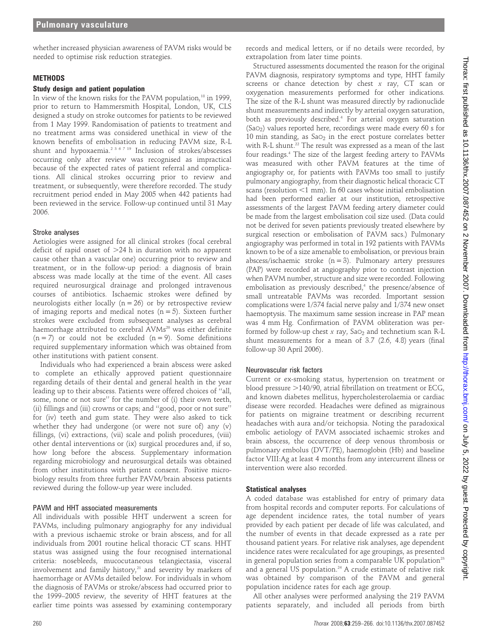whether increased physician awareness of PAVM risks would be needed to optimise risk reduction strategies.

#### **METHODS**

#### Study design and patient population

In view of the known risks for the PAVM population,<sup>18</sup> in 1999 prior to return to Hammersmith Hospital, London, UK, CLS designed a study on stroke outcomes for patients to be reviewed from 1 May 1999. Randomisation of patients to treatment and no treatment arms was considered unethical in view of the known benefits of embolisation in reducing PAVM size, R-L shunt and hypoxaemia.<sup>2 3 6 7 19</sup> Inclusion of strokes/abscesses occurring only after review was recognised as impractical because of the expected rates of patient referral and complications. All clinical strokes occurring prior to review and treatment, or subsequently, were therefore recorded. The study recruitment period ended in May 2005 when 442 patients had been reviewed in the service. Follow-up continued until 31 May 2006.

#### Stroke analyses

Aetiologies were assigned for all clinical strokes (focal cerebral deficit of rapid onset of  $>24$  h in duration with no apparent cause other than a vascular one) occurring prior to review and treatment, or in the follow-up period: a diagnosis of brain abscess was made locally at the time of the event. All cases required neurosurgical drainage and prolonged intravenous courses of antibiotics. Ischaemic strokes were defined by neurologists either locally ( $n = 26$ ) or by retrospective review of imaging reports and medical notes  $(n = 5)$ . Sixteen further strokes were excluded from subsequent analyses as cerebral haemorrhage attributed to cerebral AVMs<sup>20</sup> was either definite  $(n = 7)$  or could not be excluded  $(n = 9)$ . Some definitions required supplementary information which was obtained from other institutions with patient consent.

Individuals who had experienced a brain abscess were asked to complete an ethically approved patient questionnaire regarding details of their dental and general health in the year leading up to their abscess. Patients were offered choices of ''all, some, none or not sure'' for the number of (i) their own teeth, (ii) fillings and (iii) crowns or caps; and ''good, poor or not sure'' for (iv) teeth and gum state. They were also asked to tick whether they had undergone (or were not sure of) any (v) fillings, (vi) extractions, (vii) scale and polish procedures, (viii) other dental interventions or (ix) surgical procedures and, if so, how long before the abscess. Supplementary information regarding microbiology and neurosurgical details was obtained from other institutions with patient consent. Positive microbiology results from three further PAVM/brain abscess patients reviewed during the follow-up year were included.

#### PAVM and HHT associated measurements

All individuals with possible HHT underwent a screen for PAVMs, including pulmonary angiography for any individual with a previous ischaemic stroke or brain abscess, and for all individuals from 2001 routine helical thoracic CT scans. HHT status was assigned using the four recognised international criteria: nosebleeds, mucocutaneous telangiectasia, visceral involvement and family history, $21$  and severity by markers of haemorrhage or AVMs detailed below. For individuals in whom the diagnosis of PAVMs or stroke/abscess had occurred prior to the 1999–2005 review, the severity of HHT features at the earlier time points was assessed by examining contemporary records and medical letters, or if no details were recorded, by extrapolation from later time points.

Structured assessments documented the reason for the original PAVM diagnosis, respiratory symptoms and type, HHT family screens or chance detection by chest  $x$  ray,  $CT$  scan or oxygenation measurements performed for other indications. The size of the R-L shunt was measured directly by radionuclide shunt measurements and indirectly by arterial oxygen saturation, both as previously described.4 For arterial oxygen saturation (SaO2) values reported here, recordings were made every 60 s for 10 min standing, as  $Sao<sub>2</sub>$  in the erect posture correlates better with R-L shunt.<sup>22</sup> The result was expressed as a mean of the last four readings.4 The size of the largest feeding artery to PAVMs was measured with other PAVM features at the time of angiography or, for patients with PAVMs too small to justify pulmonary angiography, from their diagnostic helical thoracic CT scans (resolution  $<$ 1 mm). In 60 cases whose initial embolisation had been performed earlier at our institution, retrospective assessments of the largest PAVM feeding artery diameter could be made from the largest embolisation coil size used. (Data could not be derived for seven patients previously treated elsewhere by surgical resection or embolisation of PAVM sacs.) Pulmonary angiography was performed in total in 192 patients with PAVMs known to be of a size amenable to embolisation, or previous brain abscess/ischaemic stroke (n = 3). Pulmonary artery pressures (PAP) were recorded at angiography prior to contrast injection when PAVM number, structure and size were recorded. Following embolisation as previously described,<sup>4</sup> the presence/absence of small untreatable PAVMs was recorded. Important session complications were 1/374 facial nerve palsy and 1/374 new onset haemoptysis. The maximum same session increase in PAP mean was 4 mm Hg. Confirmation of PAVM obliteration was performed by follow-up chest  $x$  ray, SaO<sub>2</sub> and technetium scan R-L shunt measurements for a mean of 3.7 (2.6, 4.8) years (final follow-up 30 April 2006).

## Neurovascular risk factors

Current or ex-smoking status, hypertension on treatment or blood pressure  $>$ 140/90, atrial fibrillation on treatment or ECG, and known diabetes mellitus, hypercholesterolaemia or cardiac disease were recorded. Headaches were defined as migrainous for patients on migraine treatment or describing recurrent headaches with aura and/or teichopsia. Noting the paradoxical embolic aetiology of PAVM associated ischaemic strokes and brain abscess, the occurrence of deep venous thrombosis or pulmonary embolus (DVT/PE), haemoglobin (Hb) and baseline factor VIII:Ag at least 4 months from any intercurrent illness or intervention were also recorded.

#### Statistical analyses

A coded database was established for entry of primary data from hospital records and computer reports. For calculations of age dependent incidence rates, the total number of years provided by each patient per decade of life was calculated, and the number of events in that decade expressed as a rate per thousand patient years. For relative risk analyses, age dependent incidence rates were recalculated for age groupings, as presented in general population series from a comparable UK population<sup>23</sup> and a general US population.<sup>24</sup> A crude estimate of relative risk was obtained by comparison of the PAVM and general population incidence rates for each age group.

All other analyses were performed analysing the 219 PAVM patients separately, and included all periods from birth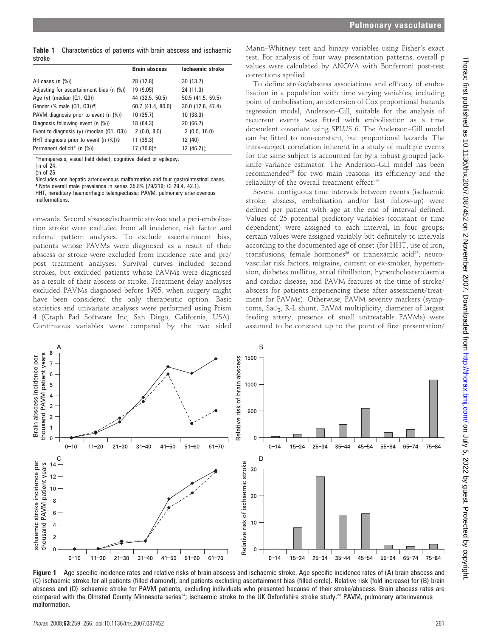Table 1 Characteristics of patients with brain abscess and ischaemic stroke

|                                             | <b>Brain abscess</b> | Ischaemic stroke     |
|---------------------------------------------|----------------------|----------------------|
| All cases $(n \ (\%)$                       | 28 (12.8)            | 30(13.7)             |
| Adjusting for ascertainment bias (n (%))    | 19 (9.05)            | 24 (11.3)            |
| Age $(y)$ (median $(01, 03)$ )              | 44 (32.5, 50.5)      | 50.5 (41.5, 59.5)    |
| Gender (% male (01, 03))                    | 60.7 (41.4, 80.0)    | 30.0 (12.6, 47.4)    |
| PAVM diagnosis prior to event (n (%))       | 10 (35.7)            | 10(33.3)             |
| Diagnosis following event (n (%))           | 18 (64.3)            | 20 (66.7)            |
| Event-to-diagnosis (y) (median (Q1, Q3))    | 2(0.0, 8.0)          | 2(0.0, 16.0)         |
| HHT diagnosis prior to event $(n \ (\%))$ § | 11 (39.3)            | 12 (40)              |
| Permanent deficit* (n (%))                  | 17 (70.8)†           | 12 (46.2) $\ddagger$ |

\*Hemiparesis, visual field defect, cognitive defect or epilepsy.

{n of 26.

§Includes one hepatic arteriovenous malformation and four gastrointestinal cases. "Note overall male prevalence in series 35.8% (79/219; CI 29.4, 42.1). HHT, hereditary haemorrhagic telangiectasia; PAVM, pulmonary arteriovenous malformations.

onwards. Second abscess/ischaemic strokes and a peri-embolisation stroke were excluded from all incidence, risk factor and referral pattern analyses. To exclude ascertainment bias, patients whose PAVMs were diagnosed as a result of their abscess or stroke were excluded from incidence rate and pre/ post treatment analyses. Survival curves included second strokes, but excluded patients whose PAVMs were diagnosed as a result of their abscess or stroke. Treatment delay analyses excluded PAVMs diagnosed before 1985, when surgery might have been considered the only therapeutic option. Basic statistics and univariate analyses were performed using Prism 4 (Graph Pad Software Inc, San Diego, California, USA). Continuous variables were compared by the two sided

Mann–Whitney test and binary variables using Fisher's exact test. For analysis of four way presentation patterns, overall p values were calculated by ANOVA with Bonferroni post-test corrections applied.

To define stroke/abscess associations and efficacy of embolisation in a population with time varying variables, including point of embolisation, an extension of Cox proportional hazards regression model, Anderson–Gill, suitable for the analysis of recurrent events was fitted with embolisation as a time dependent covariate using SPLUS 6. The Anderson–Gill model can be fitted to non-constant, but proportional hazards. The intra-subject correlation inherent in a study of multiple events for the same subject is accounted for by a robust grouped jackknife variance estimator. The Anderson–Gill model has been recommended<sup>25</sup> for two main reasons: its efficiency and the reliability of the overall treatment effect.<sup>25</sup>

Several contiguous time intervals between events (ischaemic stroke, abscess, embolisation and/or last follow-up) were defined per patient with age at the end of interval defined. Values of 25 potential predictory variables (constant or time dependent) were assigned to each interval, in four groups: certain values were assigned variably but definitely to intervals according to the documented age of onset (for HHT, use of iron, transfusions, female hormones<sup>26</sup> or tranexamic acid<sup>27</sup>; neurovascular risk factors, migraine, current or ex-smoker, hypertension, diabetes mellitus, atrial fibrillation, hypercholesterolaemia and cardiac disease; and PAVM features at the time of stroke/ abscess for patients experiencing these after assessment/treatment for PAVMs). Otherwise, PAVM severity markers (symptoms, SaO<sub>2</sub>, R-L shunt, PAVM multiplicity, diameter of largest feeding artery, presence of small untreatable PAVMs) were assumed to be constant up to the point of first presentation/



Figure 1 Age specific incidence rates and relative risks of brain abscess and ischaemic stroke. Age specific incidence rates of (A) brain abscess and (C) ischaemic stroke for all patients (filled diamond), and patients excluding ascertainment bias (filled circle). Relative risk (fold increase) for (B) brain abscess and (D) ischaemic stroke for PAVM patients, excluding individuals who presented because of their stroke/abscess. Brain abscess rates are compared with the Olmsted County Minnesota series<sup>24</sup>; ischaemic stroke to the UK Oxfordshire stroke study.<sup>23</sup> PAVM, pulmonary arteriovenous malformation.

 $\dagger$ n of 24.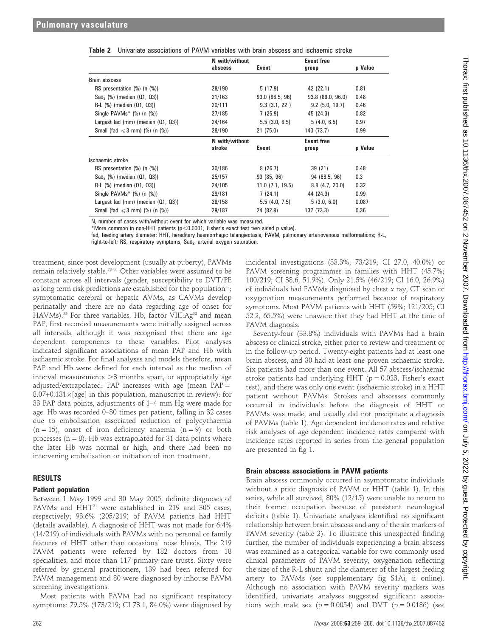|                                              | N with/without |                              | <b>Event free</b> |         |  |
|----------------------------------------------|----------------|------------------------------|-------------------|---------|--|
|                                              | abscess        | Event                        | group             | p Value |  |
| Brain abscess                                |                |                              |                   |         |  |
| RS presentation (%) (n (%))                  | 28/190         | 5(17.9)                      | 42 (22.1)         | 0.81    |  |
| $Sao_2$ (%) (median $(Q1, Q3)$ )             | 21/163         | 93.0 (86.5, 96)              | 93.8(89.0, 96.0)  | 0.48    |  |
| $R-L$ (%) (median $(Q1, Q3)$ )               | 20/111         | 9.3(3.1, 22)                 | $9.2$ (5.0, 19.7) | 0.46    |  |
| Single PAVMs* (%) (n (%))                    | 27/185         | 7(25.9)                      | 45 (24.3)         | 0.82    |  |
| Largest fad (mm) (median (Q1, Q3))           | 24/164         | 5.5(3.0, 6.5)                | 5(4.0, 6.5)       | 0.97    |  |
| Small (fad $\leq 3$ mm) (%) (n (%))          | 28/190         | 21(75.0)                     | 140 (73.7)        | 0.99    |  |
|                                              | N with/without |                              | Event free        |         |  |
|                                              | stroke         | Event                        | group             | p Value |  |
| Ischaemic stroke                             |                |                              |                   |         |  |
| RS presentation $(\%)$ (n $(\%)$ )           | 30/186         | 8(26.7)                      | 39 (21)           | 0.48    |  |
| $Sao_2$ (%) (median $(Q1, Q3)$ )             | 25/157         | 93 (85, 96)                  | 94 (88.5, 96)     | 0.3     |  |
| $R-L$ (%) (median $(Q1, Q3)$ )               | 24/105         | 11.0(7.1, 19.5)              | $8.8$ (4.7, 20.0) | 0.32    |  |
| Single PAVMs* (%) (n (%))<br>29/181          |                | 7(24.1)<br>44 (24.3)         |                   | 0.99    |  |
| Largest fad (mm) (median (Q1, Q3))<br>28/158 |                | 5.5(4.0, 7.5)<br>5(3.0, 6.0) |                   | 0.087   |  |
| Small (fad $\leq 3$ mm) (%) (n (%))          | 29/187         | 24 (82.8)                    | 137 (73.3)        | 0.36    |  |

Table 2 Univariate associations of PAVM variables with brain abscess and ischaemic stroke

N, number of cases with/without event for which variable was measured.

\*More common in non-HHT patients (p<0.0001, Fisher's exact test two sided p value).

fad, feeding artery diameter; HHT, hereditary haemorrhagic telangiectasia; PAVM, pulmonary arteriovenous malformations; R-L,

right-to-left; RS, respiratory symptoms; Sao<sub>2</sub>, arterial oxygen saturation.

treatment, since post development (usually at puberty), PAVMs remain relatively stable.28–31 Other variables were assumed to be constant across all intervals (gender, susceptibility to DVT/PE as long term risk predictions are established for the population<sup>32</sup>; symptomatic cerebral or hepatic AVMs, as CAVMs develop perinatally and there are no data regarding age of onset for HAVMs).<sup>33</sup> For three variables, Hb, factor VIII:Ag<sup>32</sup> and mean PAP, first recorded measurements were initially assigned across all intervals, although it was recognised that there are age dependent components to these variables. Pilot analyses indicated significant associations of mean PAP and Hb with ischaemic stroke. For final analyses and models therefore, mean PAP and Hb were defined for each interval as the median of interval measurements  $>3$  months apart, or appropriately age adjusted/extrapolated: PAP increases with age (mean PAP =  $8.07+0.131\times$ [age] in this population, manuscript in review): for 33 PAP data points, adjustments of 1–4 mm Hg were made for age. Hb was recorded 0–30 times per patient, falling in 32 cases due to embolisation associated reduction of polycythaemia  $(n = 15)$ , onset of iron deficiency anaemia  $(n = 9)$  or both processes  $(n = 8)$ . Hb was extrapolated for 31 data points where the later Hb was normal or high, and there had been no intervening embolisation or initiation of iron treatment.

## RESULTS

#### Patient population

Between 1 May 1999 and 30 May 2005, definite diagnoses of PAVMs and HHT<sup>21</sup> were established in 219 and 305 cases, respectively; 93.6% (205/219) of PAVM patients had HHT (details available). A diagnosis of HHT was not made for 6.4% (14/219) of individuals with PAVMs with no personal or family features of HHT other than occasional nose bleeds. The 219 PAVM patients were referred by 182 doctors from 18 specialities, and more than 117 primary care trusts. Sixty were referred by general practitioners, 139 had been referred for PAVM management and 80 were diagnosed by inhouse PAVM screening investigations.

Most patients with PAVM had no significant respiratory symptoms: 79.5% (173/219; CI 73.1, 84.0%) were diagnosed by

incidental investigations (33.3%; 73/219; CI 27.0, 40.0%) or PAVM screening programmes in families with HHT (45.7%; 100/219; CI 38.6, 51.9%). Only 21.5% (46/219; CI 16.0, 26.9%) of individuals had PAVMs diagnosed by chest x ray, CT scan or oxygenation measurements performed because of respiratory symptoms. Most PAVM patients with HHT (59%; 121/205; CI 52.2, 65.5%) were unaware that they had HHT at the time of PAVM diagnosis.

Seventy-four (33.8%) individuals with PAVMs had a brain abscess or clinical stroke, either prior to review and treatment or in the follow-up period. Twenty-eight patients had at least one brain abscess, and 30 had at least one proven ischaemic stroke. Six patients had more than one event. All 57 abscess/ischaemic stroke patients had underlying HHT ( $p = 0.023$ , Fisher's exact test), and there was only one event (ischaemic stroke) in a HHT patient without PAVMs. Strokes and abscesses commonly occurred in individuals before the diagnosis of HHT or PAVMs was made, and usually did not precipitate a diagnosis of PAVMs (table 1). Age dependent incidence rates and relative risk analyses of age dependent incidence rates compared with incidence rates reported in series from the general population are presented in fig 1.

## Brain abscess associations in PAVM patients

Brain abscess commonly occurred in asymptomatic individuals without a prior diagnosis of PAVM or HHT (table 1). In this series, while all survived, 80% (12/15) were unable to return to their former occupation because of persistent neurological deficits (table 1). Univariate analyses identified no significant relationship between brain abscess and any of the six markers of PAVM severity (table 2). To illustrate this unexpected finding further, the number of individuals experiencing a brain abscess was examined as a categorical variable for two commonly used clinical parameters of PAVM severity, oxygenation reflecting the size of the R-L shunt and the diameter of the largest feeding artery to PAVMs (see supplementary fig S1Ai, ii online). Although no association with PAVM severity markers was identified, univariate analyses suggested significant associations with male sex ( $p = 0.0054$ ) and DVT ( $p = 0.0186$ ) (see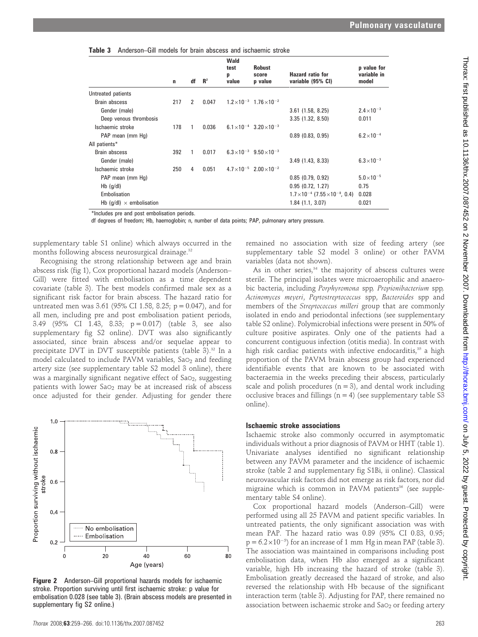| <b>Table 3</b> Anderson–Gill models for brain abscess and ischaemic stroke |  |
|----------------------------------------------------------------------------|--|
|----------------------------------------------------------------------------|--|

|                                     | $\mathbf n$ | df             | $R^2$ | Wald<br>test<br>р<br>value | <b>Robust</b><br>score<br>p value          | <b>Hazard ratio for</b><br>variable (95% CI)    | p value for<br>variable in<br>model |
|-------------------------------------|-------------|----------------|-------|----------------------------|--------------------------------------------|-------------------------------------------------|-------------------------------------|
| Untreated patients                  |             |                |       |                            |                                            |                                                 |                                     |
| Brain abscess                       | 217         | $\mathfrak{p}$ | 0.047 |                            | $1.2 \times 10^{-3}$ 1.76 $\times 10^{-2}$ |                                                 |                                     |
| Gender (male)                       |             |                |       |                            |                                            | $3.61$ (1.58, 8.25)                             | $2.4 \times 10^{-3}$                |
| Deep venous thrombosis              |             |                |       |                            |                                            | 3.35(1.32, 8.50)                                | 0.011                               |
| Ischaemic stroke                    | 178         |                | 0.036 |                            | $6.1 \times 10^{-4}$ 3.20 $\times 10^{-3}$ |                                                 |                                     |
| PAP mean (mm Hq)                    |             |                |       |                            |                                            | $0.89$ (0.83, 0.95)                             | $6.2 \times 10^{-4}$                |
| All patients*                       |             |                |       |                            |                                            |                                                 |                                     |
| Brain abscess                       | 392         | 1              | 0.017 |                            | $6.3 \times 10^{-3}$ $9.50 \times 10^{-3}$ |                                                 |                                     |
| Gender (male)                       |             |                |       |                            |                                            | 3.49(1.43, 8.33)                                | $6.3 \times 10^{-3}$                |
| Ischaemic stroke                    | 250         | 4              | 0.051 |                            | $4.7 \times 10^{-5}$ $2.00 \times 10^{-2}$ |                                                 |                                     |
| PAP mean (mm Hq)                    |             |                |       |                            |                                            | 0.85(0.79, 0.92)                                | $5.0 \times 10^{-5}$                |
| Hb $(g/d)$                          |             |                |       |                            |                                            | 0.95(0.72, 1.27)                                | 0.75                                |
| Embolisation                        |             |                |       |                            |                                            | $1.7\times10^{-4}$ (7.55 $\times10^{-8}$ , 0.4) | 0.028                               |
| Hb ( $q/dl$ ) $\times$ embolisation |             |                |       |                            |                                            | 1.84(1.1, 3.07)                                 | 0.021                               |

\*Includes pre and post embolisation periods.

df degrees of freedom; Hb, haemoglobin; n, number of data points; PAP, pulmonary artery pressure.

supplementary table S1 online) which always occurred in the months following abscess neurosurgical drainage.<sup>32</sup>

Recognising the strong relationship between age and brain abscess risk (fig 1), Cox proportional hazard models (Anderson– Gill) were fitted with embolisation as a time dependent covariate (table 3). The best models confirmed male sex as a significant risk factor for brain abscess. The hazard ratio for untreated men was 3.61 (95% CI 1.58, 8.25;  $p = 0.047$ ), and for all men, including pre and post embolisation patient periods, 3.49 (95% CI 1.43, 8.33; p = 0.017) (table 3, see also supplementary fig S2 online). DVT was also significantly associated, since brain abscess and/or sequelae appear to precipitate DVT in DVT susceptible patients (table 3).<sup>32</sup> In a model calculated to include PAVM variables,  $Sao<sub>2</sub>$  and feeding artery size (see supplementary table S2 model 3 online), there was a marginally significant negative effect of  $Sao<sub>2</sub>$ , suggesting patients with lower  $Sao<sub>2</sub>$  may be at increased risk of abscess once adjusted for their gender. Adjusting for gender there



Figure 2 Anderson–Gill proportional hazards models for ischaemic stroke. Proportion surviving until first ischaemic stroke: p value for embolisation 0.028 (see table 3). (Brain abscess models are presented in supplementary fig S2 online.)

remained no association with size of feeding artery (see supplementary table S2 model 3 online) or other PAVM variables (data not shown).

As in other series, $34$  the majority of abscess cultures were sterile. The principal isolates were microaerophilic and anaerobic bacteria, including Porphyromona spp, Propionibacterium spp, Actinomyces meyeri, Peptostreptococcus spp, Bacteroides spp and members of the Streptococcus milleri group that are commonly isolated in endo and periodontal infections (see supplementary table S2 online). Polymicrobial infections were present in 50% of culture positive aspirates. Only one of the patients had a concurrent contiguous infection (otitis media). In contrast with high risk cardiac patients with infective endocarditis, $35$  a high proportion of the PAVM brain abscess group had experienced identifiable events that are known to be associated with bacteraemia in the weeks preceding their abscess, particularly scale and polish procedures  $(n = 3)$ , and dental work including occlusive braces and fillings  $(n = 4)$  (see supplementary table S3 online).

#### Ischaemic stroke associations

Ischaemic stroke also commonly occurred in asymptomatic individuals without a prior diagnosis of PAVM or HHT (table 1). Univariate analyses identified no significant relationship between any PAVM parameter and the incidence of ischaemic stroke (table 2 and supplementary fig S1Bi, ii online). Classical neurovascular risk factors did not emerge as risk factors, nor did migraine which is common in PAVM patients<sup>36</sup> (see supplementary table S4 online).

Cox proportional hazard models (Anderson–Gill) were performed using all 25 PAVM and patient specific variables. In untreated patients, the only significant association was with mean PAP. The hazard ratio was 0.89 (95% CI 0.83, 0.95;  $p = 6.2 \times 10^{-5}$ ) for an increase of 1 mm Hg in mean PAP (table 3). The association was maintained in comparisons including post embolisation data, when Hb also emerged as a significant variable, high Hb increasing the hazard of stroke (table 3). Embolisation greatly decreased the hazard of stroke, and also reversed the relationship with Hb because of the significant interaction term (table 3). Adjusting for PAP, there remained no association between ischaemic stroke and  $Sao<sub>2</sub>$  or feeding artery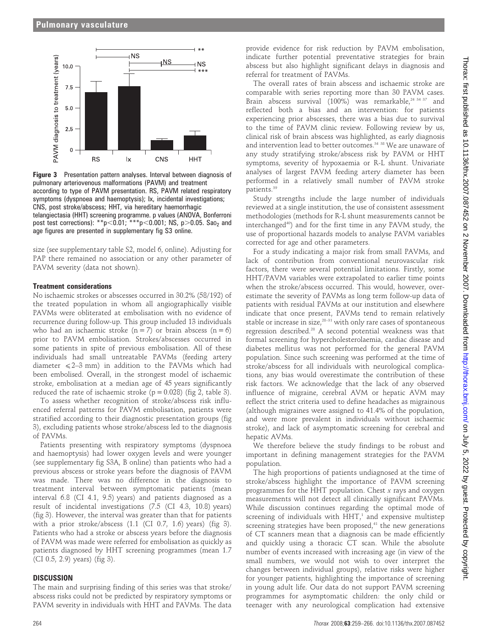

Figure 3 Presentation pattern analyses. Interval between diagnosis of pulmonary arteriovenous malformations (PAVM) and treatment according to type of PAVM presentation. RS, PAVM related respiratory symptoms (dyspnoea and haemoptysis); Ix, incidental investigations; CNS, post stroke/abscess; HHT, via hereditary haemorrhagic telangiectasia (HHT) screening programme. p values (ANOVA, Bonferroni post test corrections): \*\*p $< 0.01$ ; \*\*\*p $< 0.001$ ; NS, p $> 0.05$ . Sao<sub>2</sub> and age figures are presented in supplementary fig S3 online.

size (see supplementary table S2, model 6, online). Adjusting for PAP there remained no association or any other parameter of PAVM severity (data not shown).

#### Treatment considerations

No ischaemic strokes or abscesses occurred in 30.2% (58/192) of the treated population in whom all angiographically visible PAVMs were obliterated at embolisation with no evidence of recurrence during follow-up. This group included 13 individuals who had an ischaemic stroke ( $n = 7$ ) or brain abscess ( $n = 6$ ) prior to PAVM embolisation. Strokes/abscesses occurred in some patients in spite of previous embolisation. All of these individuals had small untreatable PAVMs (feeding artery diameter  $\leq 2-3$  mm) in addition to the PAVMs which had been embolised. Overall, in the strongest model of ischaemic stroke, embolisation at a median age of 45 years significantly reduced the rate of ischaemic stroke ( $p = 0.028$ ) (fig 2, table 3).

To assess whether recognition of stroke/abscess risk influenced referral patterns for PAVM embolisation, patients were stratified according to their diagnostic presentation groups (fig 3), excluding patients whose stroke/abscess led to the diagnosis of PAVMs.

Patients presenting with respiratory symptoms (dyspnoea and haemoptysis) had lower oxygen levels and were younger (see supplementary fig S3A, B online) than patients who had a previous abscess or stroke years before the diagnosis of PAVM was made. There was no difference in the diagnosis to treatment interval between symptomatic patients (mean interval 6.8 (CI 4.1, 9.5) years) and patients diagnosed as a result of incidental investigations (7.5 (CI 4.3, 10.8) years) (fig 3). However, the interval was greater than that for patients with a prior stroke/abscess (1.1 (CI 0.7, 1.6) years) (fig 3). Patients who had a stroke or abscess years before the diagnosis of PAVM was made were referred for embolisation as quickly as patients diagnosed by HHT screening programmes (mean 1.7 (CI 0.5, 2.9) years) (fig 3).

#### **DISCUSSION**

The main and surprising finding of this series was that stroke/ abscess risks could not be predicted by respiratory symptoms or PAVM severity in individuals with HHT and PAVMs. The data

provide evidence for risk reduction by PAVM embolisation, indicate further potential preventative strategies for brain abscess but also highlight significant delays in diagnosis and referral for treatment of PAVMs.

The overall rates of brain abscess and ischaemic stroke are comparable with series reporting more than 30 PAVM cases. Brain abscess survival  $(100\%)$  was remarkable,<sup>24 34 37</sup> and reflected both a bias and an intervention: for patients experiencing prior abscesses, there was a bias due to survival to the time of PAVM clinic review. Following review by us, clinical risk of brain abscess was highlighted, as early diagnosis and intervention lead to better outcomes.<sup>34 38</sup> We are unaware of any study stratifying stroke/abscess risk by PAVM or HHT symptoms, severity of hypoxaemia or R-L shunt. Univariate analyses of largest PAVM feeding artery diameter has been performed in a relatively small number of PAVM stroke patients.39

Study strengths include the large number of individuals reviewed at a single institution, the use of consistent assessment methodologies (methods for R-L shunt measurements cannot be interchanged40) and for the first time in any PAVM study, the use of proportional hazards models to analyse PAVM variables corrected for age and other parameters.

For a study indicating a major risk from small PAVMs, and lack of contribution from conventional neurovascular risk factors, there were several potential limitations. Firstly, some HHT/PAVM variables were extrapolated to earlier time points when the stroke/abscess occurred. This would, however, overestimate the severity of PAVMs as long term follow-up data of patients with residual PAVMs at our institution and elsewhere indicate that once present, PAVMs tend to remain relatively stable or increase in size, $28-31$  with only rare cases of spontaneous regression described.28 A second potential weakness was that formal screening for hypercholesterolaemia, cardiac disease and diabetes mellitus was not performed for the general PAVM population. Since such screening was performed at the time of stroke/abscess for all individuals with neurological complications, any bias would overestimate the contribution of these risk factors. We acknowledge that the lack of any observed influence of migraine, cerebral AVM or hepatic AVM may reflect the strict criteria used to define headaches as migrainous (although migraines were assigned to 41.4% of the population, and were more prevalent in individuals without ischaemic stroke), and lack of asymptomatic screening for cerebral and hepatic AVMs.

We therefore believe the study findings to be robust and important in defining management strategies for the PAVM population.

The high proportions of patients undiagnosed at the time of stroke/abscess highlight the importance of PAVM screening programmes for the HHT population. Chest  $x$  rays and oxygen measurements will not detect all clinically significant PAVMs. While discussion continues regarding the optimal mode of screening of individuals with  $HHT$ ,<sup>1</sup> and expensive multistep screening strategies have been proposed,<sup>41</sup> the new generations of CT scanners mean that a diagnosis can be made efficiently and quickly using a thoracic CT scan. While the absolute number of events increased with increasing age (in view of the small numbers, we would not wish to over interpret the changes between individual groups), relative risks were higher for younger patients, highlighting the importance of screening in young adult life. Our data do not support PAVM screening programmes for asymptomatic children: the only child or teenager with any neurological complication had extensive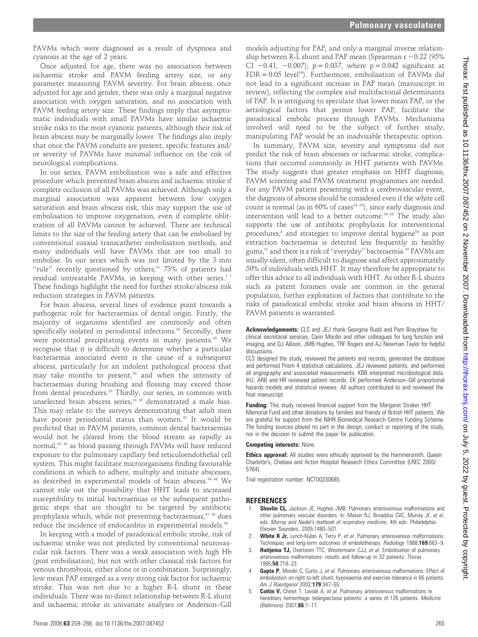PAVMs which were diagnosed as a result of dyspnoea and cyanosis at the age of 2 years.

Once adjusted for age, there was no association between ischaemic stroke and PAVM feeding artery size, or any parameter measuring PAVM severity. For brain abscess, once adjusted for age and gender, there was only a marginal negative association with oxygen saturation, and no association with PAVM feeding artery size. These findings imply that asymptomatic individuals with small PAVMs have similar ischaemic stroke risks to the most cyanotic patients, although their risk of brain abscess may be marginally lower. The findings also imply that once the PAVM conduits are present, specific features and/ or severity of PAVMs have minimal influence on the risk of neurological complications.

In our series, PAVM embolisation was a safe and effective procedure which prevented brain abscess and ischaemic stroke if complete occlusion of all PAVMs was achieved. Although only a marginal association was apparent between low oxygen saturation and brain abscess risk, this may support the use of embolisation to improve oxygenation, even if complete obliteration of all PAVMs cannot be achieved. There are technical limits to the size of the feeding artery that can be embolised by conventional coaxial transcatheter embolisation methods, and many individuals will have PAVMs that are too small to embolise. In our series which was not limited by the 3 mm "rule" recently questioned by others, $31$  73% of patients had residual untreatable PAVMs, in keeping with other series.<sup>37</sup> These findings highlight the need for further stroke/abscess risk reduction strategies in PAVM patients.

For brain abscess, several lines of evidence point towards a pathogenic role for bacteraemias of dental origin. Firstly, the majority of organisms identified are commonly and often specifically isolated in periodontal infections.<sup>42</sup> Secondly, there were potential precipitating events in many patients.<sup>43</sup> We recognise that it is difficult to determine whether a particular bacteraemia associated event is the cause of a subsequent abscess, particularly for an indolent pathological process that may take months to present, $44$  and when the intensity of bacteraemias during brushing and flossing may exceed those from dental procedures.<sup>35</sup> Thirdly, our series, in common with unselected brain abscess series, $24$ <sup>38</sup> demonstrated a male bias. This may relate to the surveys demonstrating that adult men have poorer periodontal status than women.45 It would be predicted that in PAVM patients, common dental bacteraemias would not be cleared from the blood stream as rapidly as normal,42 43 as blood passing through PAVMs will have reduced exposure to the pulmonary capillary bed reticuloendothelial cell system. This might facilitate microorganisms finding favourable conditions in which to adhere, multiply and initiate abscesses, as described in experimental models of brain abscess.<sup>44 46</sup> We cannot rule out the possibility that HHT leads to increased susceptibility to initial bacteraemias or the subsequent pathogenic steps that are thought to be targeted by antibiotic prophylaxis which, while not preventing bacteraemias,<sup>47</sup> <sup>48</sup> does reduce the incidence of endocarditis in experimental models.<sup>48</sup>

In keeping with a model of paradoxical embolic stroke, risk of ischaemic stroke was not predicted by conventional neurovascular risk factors. There was a weak association with high Hb (post embolisation), but not with other classical risk factors for venous thrombosis, either alone or in combination. Surprisingly, low mean PAP emerged as a very strong risk factor for ischaemic stroke. This was not due to a higher R-L shunt in these individuals. There was no direct relationship between R-L shunt and ischaemic stroke in univariate analyses or Anderson–Gill

models adjusting for PAP, and only a marginal inverse relationship between R-L shunt and PAP mean (Spearman  $r - 0.22$  (95%) CI  $-0.41$ ,  $-0.007$ ; p = 0.037, where p = 0.042 significant at  $FDR = 0.05$  level<sup>49</sup>). Furthermore, embolisation of PAVMs did not lead to a significant increase in PAP mean (manuscript in review), reflecting the complex and multifactorial determinants of PAP. It is intriguing to speculate that lower mean PAP, or the aetiological factors that permit lower PAP, facilitate the paradoxical embolic process through PAVMs. Mechanisms involved will need to be the subject of further study; manipulating PAP would be an inadvisable therapeutic option.

In summary, PAVM size, severity and symptoms did not predict the risk of brain abscesses or ischaemic stroke, complications that occurred commonly in HHT patients with PAVMs. The study suggests that greater emphasis on HHT diagnosis, PAVM screening and PAVM treatment programmes are needed. For any PAVM patient presenting with a cerebrovascular event, the diagnosis of abscess should be considered even if the white cell count is normal (as in  $60\%$  of cases<sup>34 38</sup>), since early diagnosis and intervention will lead to a better outcome.<sup>34 38</sup> The study also supports the use of antibiotic prophylaxis for interventional procedures, $8$  and strategies to improve dental hygiene $50$  as post extraction bacteraemia is detected less frequently in healthy gums,<sup>51</sup> and there is a risk of "everyday" bacteraemia.<sup>35</sup> PAVMs are usually silent, often difficult to diagnose and affect approximately 50% of individuals with HHT. It may therefore be appropriate to offer this advice to all individuals with HHT. As other R-L shunts such as patent foramen ovale are common in the general population, further exploration of factors that contribute to the risks of paradoxical embolic stroke and brain abscess in HHT/ PAVM patients is warranted.

Acknowledgements: CLS and JEJ thank Georgina Rudd and Pam Brayshaw for clinical secretarial services, Carin Mordin and other colleagues for lung function and imaging, and DJ Allison, JMB Hughes, TRF Rogers and AJ Newman Taylor for helpful discussions.

CLS designed the study, reviewed the patients and records, generated the database and performed Prism 4 statistical calculations. JEJ reviewed patients, and performed all angiography and associated measurements. KBB interpreted microbiological data. IHJ, ARB and HR reviewed patient records. EK performed Anderson–Gill proportional hazards models and statistical reviews. All authors contributed to and reviewed the final manuscript.

Funding: This study received financial support from the Margaret Straker HHT Memorial Fund and other donations by families and friends of British HHT patients. We are grateful for support from the NIHR Biomedical Research Centre Funding Scheme. The funding sources played no part in the design, conduct or reporting of the study, nor in the decision to submit the paper for publication.

#### Competing interests: None.

**Ethics approval:** All studies were ethically approved by the Hammersmith, Queen Charlotte's, Chelsea and Acton Hospital Research Ethics Committee (LREC 2000/ 5764).

Trial registration number: NCT00230685.

#### **REFERENCES**

- Shovlin CL, Jackson JE, Hughes JMB. Pulmonary arteriovenous malformations and other pulmonary vascular disorders. In: Mason RJ, Broaddus CVC, Murray JF, et al, eds. Murray and Nadel's textbook of respiratory medicine, 4th edn. Philadelphia: Elsevier Saunders, 2005:1480–501.
- 2. White R Jr, Lynch-Nylan A, Terry P, et al. Pulmonary arteriovenous malformations: Techniques and long-term outcomes of embolotherapy. Radiology 1988;169:663-9.
- 3. Haitjema TJ, Overtoom TTC, Westermann CJJ, et al. Embolisation of pulmonary arteriovenous malformations: results and follow-up in 32 patients. Thorax 1995;50:719–23.
- 4. **Gupta P,** Mordin C, Curtis J, et al. Pulmonary arteriovenous malformations: Effect of embolization on right-to-left shunt, hypoxaemia and exercise tolerance in 66 patients. Am J Roentgenol 2002:179:347-55.
- 5. Cottin V, Chinet T, Lavolé A, et al. Pulmonary arteriovenous malformations in hereditary hemorrhagic telangiectasia patients: a series of 126 patients. Medicine (Baltimore) 2007;86:1–17.